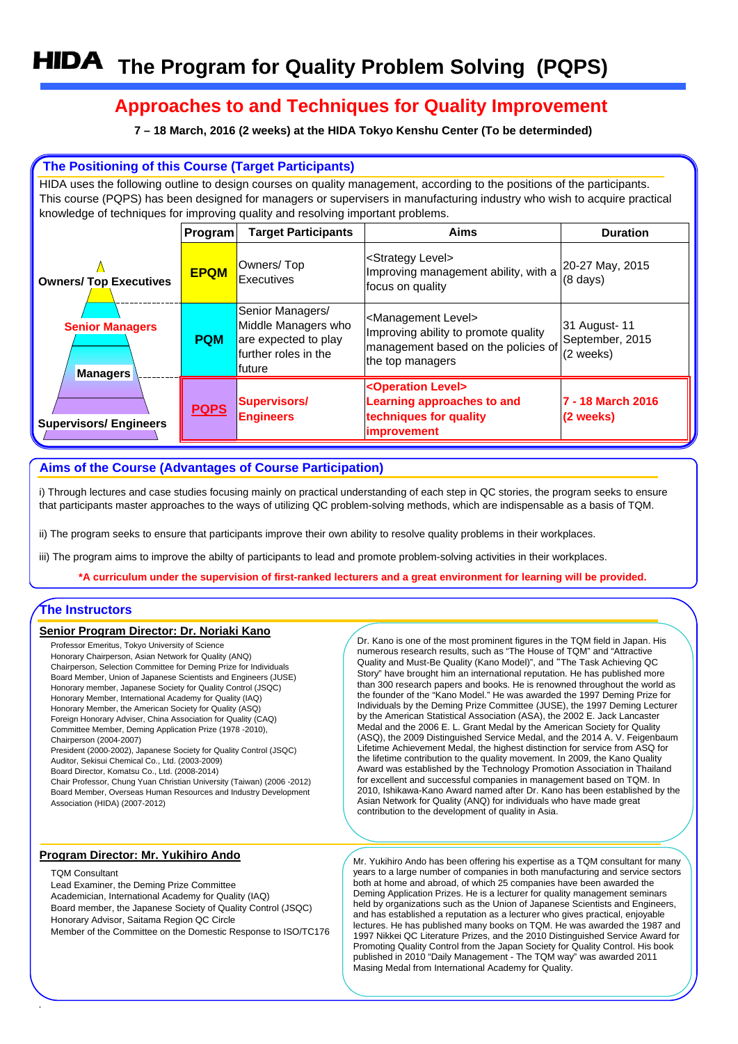# **Approaches to and Techniques for Quality Improvement**

**7 – 18 March, 2016 (2 weeks) at the HIDA Tokyo Kenshu Center (To be determinded)**

## **The Positioning of this Course (Target Participants)**

HIDA uses the following outline to design courses on quality management, according to the positions of the participants. This course (PQPS) has been designed for managers or supervisers in manufacturing industry who wish to acquire practical knowledge of techniques for improving quality and resolving important problems.

|                                    | Program     | <b>Target Participants</b>                                                                         | <b>Aims</b>                                                                                                                              | <b>Duration</b>                               |
|------------------------------------|-------------|----------------------------------------------------------------------------------------------------|------------------------------------------------------------------------------------------------------------------------------------------|-----------------------------------------------|
| <b>Owners/ Top Executives</b>      | <b>EPQM</b> | Owners/Top<br>Executives                                                                           | <strategy level=""><br/>Improving management ability, with a<br/>focus on quality</strategy>                                             | 20-27 May, 2015<br>$(8 \text{ days})$         |
| <b>Senior Managers</b><br>Managers | <b>PQM</b>  | Senior Managers/<br>Middle Managers who<br>are expected to play<br>further roles in the<br>lfuture | <management level=""><br/>Improving ability to promote quality<br/>management based on the policies of<br/>the top managers</management> | 31 August- 11<br>September, 2015<br>(2 weeks) |
| <b>Supervisors/Engineers</b>       | <b>PQPS</b> | <b>Supervisors/</b><br><b>Engineers</b>                                                            | <operation level=""><br/>Learning approaches to and<br/>techniques for quality<br/><i>improvement</i></operation>                        | 7 - 18 March 2016<br>(2 weeks)                |

## **Aims of the Course (Advantages of Course Participation)**

i) Through lectures and case studies focusing mainly on practical understanding of each step in QC stories, the program seeks to ensure that participants master approaches to the ways of utilizing QC problem-solving methods, which are indispensable as a basis of TQM.

ii) The program seeks to ensure that participants improve their own ability to resolve quality problems in their workplaces.

iii) The program aims to improve the abilty of participants to lead and promote problem-solving activities in their workplaces.

**\*A curriculum under the supervision of first-ranked lecturers and a great environment for learning will be provided.**

### **The Instructors**

#### **Senior Program Director: Dr. Noriaki Kano**

Professor Emeritus, Tokyo University of Science Honorary Chairperson, Asian Network for Quality (ANQ) Chairperson, Selection Committee for Deming Prize for Individuals Board Member, Union of Japanese Scientists and Engineers (JUSE) Honorary member, Japanese Society for Quality Control (JSQC) Honorary Member, International Academy for Quality (IAQ) Honorary Member, the American Society for Quality (ASQ) Foreign Honorary Adviser, China Association for Quality (CAQ) Committee Member, Deming Application Prize (1978 -2010), Chairperson (2004-2007)

President (2000-2002), Japanese Society for Quality Control (JSQC) Auditor, Sekisui Chemical Co., Ltd. (2003-2009)

Board Director, Komatsu Co., Ltd. (2008-2014)

Chair Professor, Chung Yuan Christian University (Taiwan) (2006 -2012) Board Member, Overseas Human Resources and Industry Development Association (HIDA) (2007-2012)

#### **Program Director: Mr. Yukihiro Ando**

#### TQM Consultant

Lead Examiner, the Deming Prize Committee Academician, International Academy for Quality (IAQ) Board member, the Japanese Society of Quality Control (JSQC) Honorary Advisor, Saitama Region QC Circle Member of the Committee on the Domestic Response to ISO/TC176 Dr. Kano is one of the most prominent figures in the TQM field in Japan. His numerous research results, such as "The House of TQM" and "Attractive Quality and Must-Be Quality (Kano Model)", and "The Task Achieving QC Story" have brought him an international reputation. He has published more than 300 research papers and books. He is renowned throughout the world as the founder of the "Kano Model." He was awarded the 1997 Deming Prize for Individuals by the Deming Prize Committee (JUSE), the 1997 Deming Lecturer by the American Statistical Association (ASA), the 2002 E. Jack Lancaster Medal and the 2006 E. L. Grant Medal by the American Society for Quality (ASQ), the 2009 Distinguished Service Medal, and the 2014 A. V. Feigenbaum Lifetime Achievement Medal, the highest distinction for service from ASQ for the lifetime contribution to the quality movement. In 2009, the Kano Quality Award was established by the Technology Promotion Association in Thailand for excellent and successful companies in management based on TQM. In 2010, Ishikawa-Kano Award named after Dr. Kano has been established by the Asian Network for Quality (ANQ) for individuals who have made great contribution to the development of quality in Asia.

Mr. Yukihiro Ando has been offering his expertise as a TQM consultant for many years to a large number of companies in both manufacturing and service sectors both at home and abroad, of which 25 companies have been awarded the Deming Application Prizes. He is a lecturer for quality management seminars held by organizations such as the Union of Japanese Scientists and Engineers, and has established a reputation as a lecturer who gives practical, enjoyable lectures. He has published many books on TQM. He was awarded the 1987 and 1997 Nikkei QC Literature Prizes, and the 2010 Distinguished Service Award for Promoting Quality Control from the Japan Society for Quality Control. His book published in 2010 "Daily Management - The TQM way" was awarded 2011 Masing Medal from International Academy for Quality.